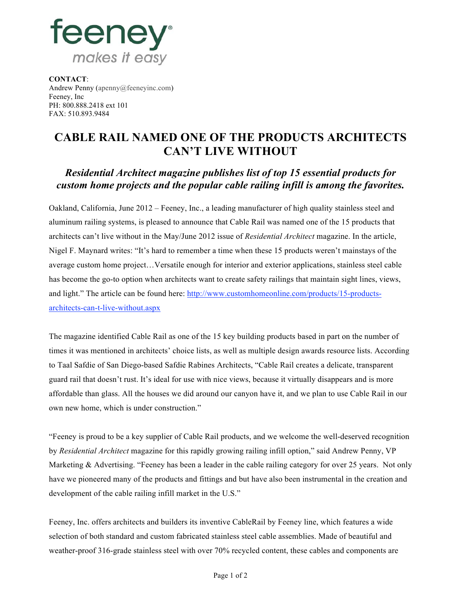

**CONTACT**: Andrew Penny (apenny@feeneyinc.com) Feeney, Inc PH: 800.888.2418 ext 101 FAX: 510.893.9484

## **CABLE RAIL NAMED ONE OF THE PRODUCTS ARCHITECTS CAN'T LIVE WITHOUT**

## *Residential Architect magazine publishes list of top 15 essential products for custom home projects and the popular cable railing infill is among the favorites.*

Oakland, California, June 2012 – Feeney, Inc., a leading manufacturer of high quality stainless steel and aluminum railing systems, is pleased to announce that Cable Rail was named one of the 15 products that architects can't live without in the May/June 2012 issue of *Residential Architect* magazine. In the article, Nigel F. Maynard writes: "It's hard to remember a time when these 15 products weren't mainstays of the average custom home project…Versatile enough for interior and exterior applications, stainless steel cable has become the go-to option when architects want to create safety railings that maintain sight lines, views, and light." The article can be found here: http://www.customhomeonline.com/products/15-productsarchitects-can-t-live-without.aspx

The magazine identified Cable Rail as one of the 15 key building products based in part on the number of times it was mentioned in architects' choice lists, as well as multiple design awards resource lists. According to Taal Safdie of San Diego-based Safdie Rabines Architects, "Cable Rail creates a delicate, transparent guard rail that doesn't rust. It's ideal for use with nice views, because it virtually disappears and is more affordable than glass. All the houses we did around our canyon have it, and we plan to use Cable Rail in our own new home, which is under construction."

"Feeney is proud to be a key supplier of Cable Rail products, and we welcome the well-deserved recognition by *Residential Architect* magazine for this rapidly growing railing infill option," said Andrew Penny, VP Marketing & Advertising. "Feeney has been a leader in the cable railing category for over 25 years. Not only have we pioneered many of the products and fittings and but have also been instrumental in the creation and development of the cable railing infill market in the U.S."

Feeney, Inc. offers architects and builders its inventive CableRail by Feeney line, which features a wide selection of both standard and custom fabricated stainless steel cable assemblies. Made of beautiful and weather-proof 316-grade stainless steel with over 70% recycled content, these cables and components are